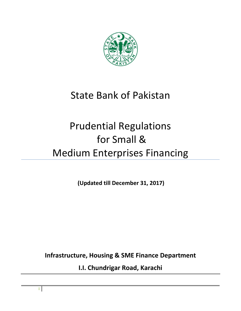

## State Bank of Pakistan

# Prudential Regulations for Small & Medium Enterprises Financing

**(Updated till December 31, 2017)** 

**Infrastructure, Housing & SME Finance Department**

**I.I. Chundrigar Road, Karachi**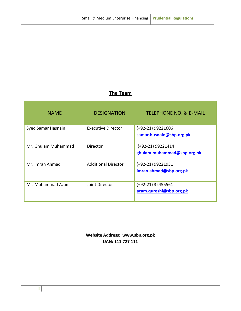### **The Team**

| <b>NAME</b>         | <b>DESIGNATION</b>         | <b>TELEPHONE NO. &amp; E-MAIL</b>                 |
|---------------------|----------------------------|---------------------------------------------------|
| Syed Samar Hasnain  | Executive Director         | $(+92-21)$ 99221606<br>samar.husnain@sbp.org.pk   |
| Mr. Ghulam Muhammad | Director                   | $(+92-21)$ 99221414<br>ghulam.muhammad@sbp.org.pk |
| Mr. Imran Ahmad     | <b>Additional Director</b> | (+92-21) 99221951<br>imran.ahmad@sbp.org.pk       |
| Mr. Muhammad Azam   | Joint Director             | $(+92-21)$ 32455561<br>azam.qureshi@sbp.org.pk    |

**Website Address: [www.sbp.org.pk](http://www.sbp.org.pk/) UAN: 111 727 111**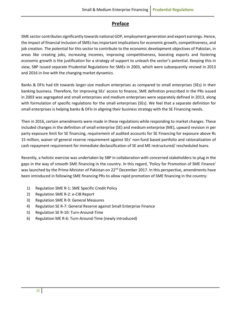### **Preface**

<span id="page-2-0"></span>SME sector contributes significantly towards national GDP, employment generation and export earnings. Hence, the impact of financial inclusion of SMEs has important implications for economic growth, competitiveness, and job creation. The potential for this sector to contribute to the economic development objectives of Pakistan, in areas like creating jobs, increasing incomes, improving competitiveness, boosting exports and fostering economic growth is the justification for a strategy of support to unleash the sector's potential. Keeping this in view, SBP issued separate Prudential Regulations for SMEs in 2003, which were subsequently revised in 2013 and 2016 in line with the changing market dynamics.

Banks & DFIs had tilt towards larger-size medium enterprises as compared to small enterprises (SEs) in their banking business. Therefore, for improving SEs' access to finance, SME definition prescribed in the PRs issued in 2003 was segregated and small enterprises and medium enterprises were separately defined in 2013, along with formulation of specific regulations for the small enterprises (SEs). We feel that a separate definition for small enterprises is helping banks & DFIs in aligning their business strategy with the SE Financing needs.

Then in 2016, certain amendments were made in these regulations while responding to market changes. These included changes in the definition of small enterprise (SE) and medium enterprise (ME), upward revision in per party exposure limit for SE financing, requirement of audited accounts for SE Financing for exposure above Rs 15 million, waiver of general reserve requirement against SEs' non-fund based portfolio and rationalization of cash repayment requirement for immediate declassification of SE and ME restructured/ rescheduled loans.

Recently, a holistic exercise was undertaken by SBP in collaboration with concerned stakeholders to plug in the gaps in the way of smooth SME financing in the country. In this regard, 'Policy for Promotion of SME Finance' was launched by the Prime Minister of Pakistan on 22<sup>nd</sup> December 2017. In this perspective, amendments have been introduced in following SME financing PRs to allow rapid promotion of SME financing in the country:

- 1) Regulation SME R-1: SME Specific Credit Policy
- 2) Regulation SME R-2: e-CIB Report
- 3) Regulation SME R-9: General Measures
- 4) Regulation SE R-7: General Reserve against Small Enterprise Finance
- 5) Regulation SE R-10: Turn-Around-Time
- 6) Regulation ME R-6: Turn-Around-Time (newly introduced)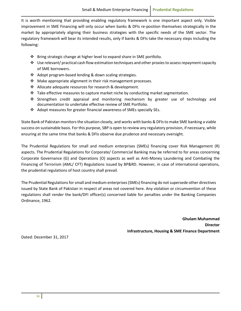It is worth mentioning that providing enabling regulatory framework is one important aspect only. Visible improvement in SME Financing will only occur when banks & DFIs re-position themselves strategically in the market by appropriately aligning their business strategies with the specific needs of the SME sector. The regulatory framework will bear its intended results, only if banks & DFIs take the necessary steps including the following:

- $\div$  Bring strategic change at higher level to expand share in SME portfolio.
- $\div$  Use relevant/ practical cash flow estimation techniques and other proxies to assess repayment capacity of SME borrowers.
- ❖ Adopt program-based lending & down scaling strategies.
- $\div$  Make appropriate alignment in their risk management processes.
- ❖ Allocate adequate resources for research & development.
- $\div$  Take effective measures to capture market niche by conducting market segmentation.
- \* Strengthen credit appraisal and monitoring mechanism by greater use of technology and documentation to undertake effective review of SME Portfolio.
- Adopt measures for greater financial awareness of SMEs specially SEs.

State Bank of Pakistan monitors the situation closely, and works with banks & DFIs to make SME banking a viable success on sustainable basis. For this purpose, SBP is open to review any regulatory provision, if necessary, while ensuring at the same time that banks & DFIs observe due prudence and necessary oversight.

The Prudential Regulations for small and medium enterprises (SMEs) financing cover Risk Management (R) aspects. The Prudential Regulations for Corporate/ Commercial Banking may be referred to for areas concerning Corporate Governance (G) and Operations (O) aspects as well as Anti-Money Laundering and Combating the Financing of Terrorism (AML/ CFT) Regulations issued by BP&RD. However, in case of international operations, the prudential regulations of host country shall prevail.

The Prudential Regulations for small and medium enterprises (SMEs) financing do not supersede other directives issued by State Bank of Pakistan in respect of areas not covered here. Any violation or circumvention of these regulations shall render the bank/DFI officer(s) concerned liable for penalties under the Banking Companies Ordinance, 1962.

> **Ghulam Muhammad Director Infrastructure, Housing & SME Finance Department**

Dated: December 31, 2017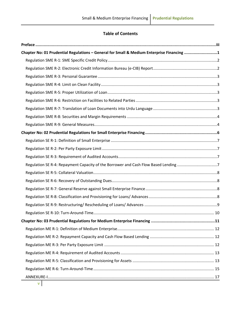### **Table of Contents**

| Chapter No: 01 Prudential Regulations - General for Small & Medium Enterprise Financing 1 |  |
|-------------------------------------------------------------------------------------------|--|
|                                                                                           |  |
|                                                                                           |  |
|                                                                                           |  |
|                                                                                           |  |
|                                                                                           |  |
|                                                                                           |  |
|                                                                                           |  |
|                                                                                           |  |
|                                                                                           |  |
|                                                                                           |  |
|                                                                                           |  |
|                                                                                           |  |
|                                                                                           |  |
| Regulation SE R-4: Repayment Capacity of the Borrower and Cash Flow Based Lending 7       |  |
|                                                                                           |  |
|                                                                                           |  |
|                                                                                           |  |
|                                                                                           |  |
|                                                                                           |  |
|                                                                                           |  |
|                                                                                           |  |
|                                                                                           |  |
|                                                                                           |  |
|                                                                                           |  |
|                                                                                           |  |
|                                                                                           |  |
|                                                                                           |  |
|                                                                                           |  |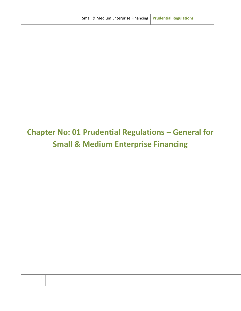## <span id="page-6-0"></span>**Chapter No: 01 Prudential Regulations – General for Small & Medium Enterprise Financing**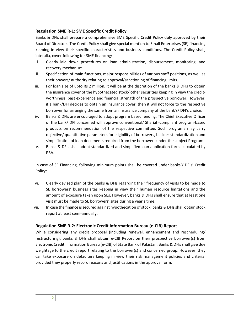#### <span id="page-7-0"></span>**Regulation SME R-1: SME Specific Credit Policy**

Banks & DFIs shall prepare a comprehensive SME Specific Credit Policy duly approved by their Board of Directors. The Credit Policy shall give special mention to Small Enterprises (SE) financing keeping in view their specific characteristics and business conditions. The Credit Policy shall, interalia, cover following for SME financing:

- i. Clearly laid down procedures on loan administration, disbursement, monitoring, and recovery mechanism.
- ii. Specification of main functions, major responsibilities of various staff positions, as well as their powers/ authority relating to approval/sanctioning of financing limits.
- iii. For loan size of upto Rs 2 million, it will be at the discretion of the banks & DFIs to obtain the insurance cover of the hypothecated stock/ other securities keeping in view the creditworthiness, past experience and financial strength of the prospective borrower. However, if a bank/DFI decides to obtain an insurance cover, then it will not force to the respective borrower for arranging the same from an insurance company of the bank's/ DFI's choice.
- iv. Banks & DFIs are encouraged to adopt program based lending. The Chief Executive Officer of the bank/ DFI concerned will approve conventional/ Shariah-compliant program-based products on recommendation of the respective committee. Such programs may carry objective/ quantitative parameters for eligibility of borrowers, besides standardization and simplification of loan documents required from the borrowers under the subject Program.
- v. Banks & DFIs shall adopt standardized and simplified loan application forms circulated by PBA.

In case of SE Financing, following minimum points shall be covered under banks'/ DFIs' Credit Policy:

- vi. Clearly devised plan of the banks & DFIs regarding their frequency of visits to be made to SE borrowers' business sites keeping in view their human resource limitations and the amount of exposure taken upon SEs. However, banks & DFIs shall ensure that at least one visit must be made to SE borrowers' sites during a year's time.
- vii. In case the finance is secured against hypothecation of stock, banks & DFIs shall obtain stock report at least semi-annually.

#### <span id="page-7-1"></span>**Regulation SME R-2: Electronic Credit Information Bureau (e-CIB) Report**

While considering any credit proposal (including renewal, enhancement and rescheduling/ restructuring), banks & DFIs shall obtain e-CIB Report on their prospective borrower(s) from Electronic Credit Information Bureau (e-CIB) of State Bank of Pakistan. Banks & DFIs shall give due weightage to the credit report relating to the borrower(s) and concerned group. However, they can take exposure on defaulters keeping in view their risk management policies and criteria, provided they properly record reasons and justifications in the approval form.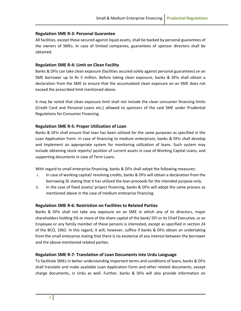#### <span id="page-8-0"></span>**Regulation SME R-3: Personal Guarantee**

All facilities, except those secured against liquid assets, shall be backed by personal guarantees of the owners of SMEs. In case of limited companies, guarantees of sponsor directors shall be obtained.

#### <span id="page-8-1"></span>**Regulation SME R-4: Limit on Clean Facility**

Banks & DFIs can take clean exposure (facilities secured solely against personal guarantees) on an SME borrower up to Rs 5 million. Before taking clean exposure, banks & DFIs shall obtain a declaration from the SME to ensure that the accumulated clean exposure on an SME does not exceed the prescribed limit mentioned above.

It may be noted that clean exposure limit shall not include the clean consumer financing limits (Credit Card and Personal Loans etc.) allowed to sponsors of the said SME under Prudential Regulations for Consumer Financing.

#### <span id="page-8-2"></span>**Regulation SME R-5: Proper Utilization of Loan**

Banks & DFIs shall ensure that loan has been utilized for the same purposes as specified in the Loan Application Form. In case of financing to medium enterprises, banks & DFIs shall develop and implement an appropriate system for monitoring utilization of loans. Such system may include obtaining stock reports/ position of current assets in case of Working Capital Loans; and supporting documents in case of Term Loans.

With regard to small enterprise financing, banks & DFIs shall adopt the following measures:

- i. In case of working capital/ revolving credits, banks & DFIs will obtain a declaration from the borrowing SE stating that it has utilized the loan proceeds for the intended purpose only.
- ii. In the case of fixed assets/ project financing, banks & DFIs will adopt the same process as mentioned above in the case of medium enterprise financing.

#### <span id="page-8-3"></span>**Regulation SME R-6: Restriction on Facilities to Related Parties**

Banks & DFIs shall not take any exposure on an SME in which any of its directors, major shareholders holding 5% or more of the share capital of the bank/ DFI or its Chief Executive, or an Employee or any family member of these persons is interested, except as specified in section 24 of the BCO, 1962. In this regard, it will, however, suffice if banks & DFIs obtain an undertaking from the small enterprise stating that there is no existence of any interest between the borrower and the above-mentioned related parties.

#### <span id="page-8-4"></span>**Regulation SME R-7: Translation of Loan Documents into Urdu Language**

To facilitate SMEs in better understanding important terms and conditions of loans, banks & DFIs shall translate and make available Loan Application Form and other related documents, except charge documents, in Urdu as well. Further, banks & DFIs will also provide information on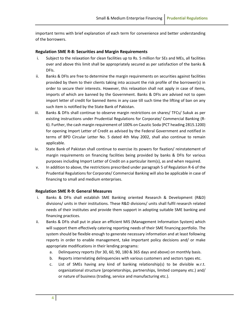important terms with brief explanation of each term for convenience and better understanding of the borrowers.

#### <span id="page-9-0"></span>**Regulation SME R-8: Securities and Margin Requirements**

- i. Subject to the relaxation for clean facilities up to Rs. 5 million for SEs and MEs, all facilities over and above this limit shall be appropriately secured as per satisfaction of the banks & DFIs.
- ii. Banks & DFIs are free to determine the margin requirements on securities against facilities provided by them to their clients taking into account the risk profile of the borrower(s) in order to secure their interests. However, this relaxation shall not apply in case of items, imports of which are banned by the Government. Banks & DFIs are advised not to open import letter of credit for banned items in any case till such time the lifting of ban on any such item is notified by the State Bank of Pakistan.
- iii. Banks & DFIs shall continue to observe margin restrictions on shares/ TFCs/ Sukuk as per existing instructions under Prudential Regulations for Corporate/ Commercial Banking (R-6). Further, the cash margin requirement of 100% on Caustic Soda (PCT heading 2815.1200) for opening Import Letter of Credit as advised by the Federal Government and notified in terms of BPD Circular Letter No. 5 dated 4th May 2002, shall also continue to remain applicable.
- iv. State Bank of Pakistan shall continue to exercise its powers for fixation/ reinstatement of margin requirements on financing facilities being provided by banks & DFIs for various purposes including Import Letter of Credit on a particular item(s), as and when required.
- v. In addition to above, the restrictions prescribed under paragraph 5 of Regulation R-6 of the Prudential Regulations for Corporate/ Commercial Banking will also be applicable in case of financing to small and medium enterprises.

#### <span id="page-9-1"></span>**Regulation SME R-9: General Measures**

- i. Banks & DFIs shall establish SME Banking oriented Research & Development (R&D) divisions/ units in their institutions. These R&D divisions/ units shall fulfil research related needs of their institutes and provide them support in adopting suitable SME banking and financing practices.
- ii. Banks & DFIs shall put in place an efficient MIS (Management Information System) which will support them effectively catering reporting needs of their SME financing portfolio. The system should be flexible enough to generate necessary information and at least following reports in order to enable management, take important policy decisions and/ or make appropriate modifications in their lending programs:
	- a. Delinquency reports (for 30, 60, 90, 180 & 365 days and above) on monthly basis.
	- b. Reports interrelating delinquencies with various customers and sectors types etc.
	- c. List of SMEs having any kind of banking relationship(s) to be divisible w.r.t. organizational structure (proprietorships, partnerships, limited company etc.) and/ or nature of business (trading, service and manufacturing etc.).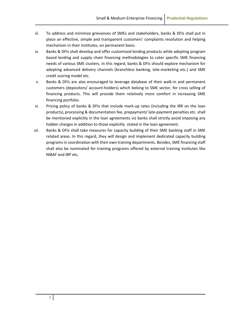- iii. To address and minimize grievances of SMEs and stakeholders, banks & DFIs shall put in place an effective, simple and transparent customers' complaints resolution and helping mechanism in their institutes, on permanent basis.
- iv. Banks & DFIs shall develop and offer customized lending products while adopting program based lending and supply chain financing methodologies to cater specific SME financing needs of various SME clusters. In this regard, banks & DFIs should explore mechanism for adopting advanced delivery channels (branchless banking, tele-marketing etc.) and SME credit scoring model etc.
- v. Banks & DFIs are also encouraged to leverage database of their walk-in and permanent customers (depositors/ account-holders) which belong to SME sector, for cross selling of financing products. This will provide them relatively more comfort in increasing SME financing portfolio.
- vi. Pricing policy of banks & DFIs that include mark-up rates (including the IRR on the loan products), processing & documentation fee, prepayment/ late-payment penalties etc. shall be mentioned explicitly in the loan agreements viz banks shall strictly avoid imposing any hidden charges in addition to those explicitly stated in the loan agreement.
- vii. Banks & DFIs shall take measures for capacity building of their SME banking staff in SME related areas. In this regard, they will design and implement dedicated capacity building programs in coordination with their own training departments. Besides, SME financing staff shall also be nominated for training programs offered by external training institutes like NIBAF and IBP etc.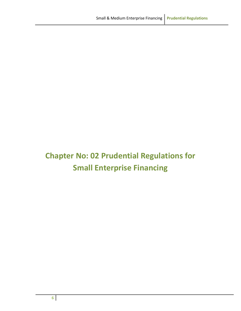## <span id="page-11-0"></span>**Chapter No: 02 Prudential Regulations for Small Enterprise Financing**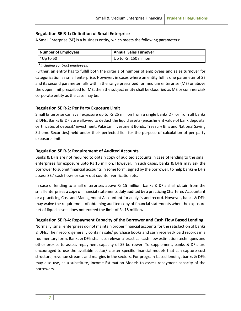#### <span id="page-12-0"></span>**Regulation SE R-1: Definition of Small Enterprise**

A Small Enterprise (SE) is a business entity, which meets the following parameters:

| Number of Employees | <b>Annual Sales Turnover</b> |
|---------------------|------------------------------|
| l *Up to 50         | Up to Rs. 150 million        |

**\****including contract employees*.

Further, an entity has to fulfill both the criteria of number of employees and sales turnover for categorization as small enterprise. However, in cases where an entity fulfils one parameter of SE and its second parameter falls within the range prescribed for medium enterprise (ME) or above the upper limit prescribed for ME, then the subject entity shall be classified as ME or commercial/ corporate entity as the case may be.

#### <span id="page-12-1"></span>**Regulation SE R-2: Per Party Exposure Limit**

Small Enterprise can avail exposure up to Rs 25 million from a single bank/ DFI or from all banks & DFIs. Banks & DFIs are allowed to deduct the liquid assets (encashment value of bank deposits, certificates of deposit/ investment, Pakistan Investment Bonds, Treasury Bills and National Saving Scheme Securities) held under their perfected lien for the purpose of calculation of per party exposure limit.

#### <span id="page-12-2"></span>**Regulation SE R-3: Requirement of Audited Accounts**

Banks & DFIs are not required to obtain copy of audited accounts in case of lending to the small enterprises for exposure upto Rs 15 million. However, in such cases**,** banks & DFIs may ask the borrower to submit financial accounts in some form, signed by the borrower, to help banks & DFIs assess SEs' cash flows or carry out counter verification etc.

In case of lending to small enterprises above Rs 15 million, banks & DFIs shall obtain from the small enterprises a copy of financial statements duly audited by a practicing Chartered Accountant or a practicing Cost and Management Accountant for analysis and record. However, banks & DFIs may waive the requirement of obtaining audited copy of financial statements when the exposure net of liquid assets does not exceed the limit of Rs 15 million**.** 

#### <span id="page-12-3"></span>**Regulation SE R-4: Repayment Capacity of the Borrower and Cash Flow Based Lending**

Normally, small enterprises do not maintain proper financial accounts for the satisfaction of banks & DFIs. Their record generally contains sale/ purchase books and cash received/ paid records in a rudimentary form. Banks & DFIs shall use relevant/ practical cash flow estimation techniques and other proxies to assess repayment capacity of SE borrower. To supplement, banks & DFIs are encouraged to use the available sector/ cluster specific financial models that can capture cost structure, revenue streams and margins in the sectors. For program-based lending, banks & DFIs may also use, as a substitute, Income Estimation Models to assess repayment capacity of the borrowers.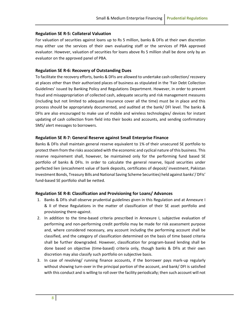#### <span id="page-13-0"></span>**Regulation SE R-5: Collateral Valuation**

For valuation of securities against loans up to Rs 5 million, banks & DFIs at their own discretion may either use the services of their own evaluating staff or the services of PBA approved evaluator. However, valuation of securities for loans above Rs 5 million shall be done only by an evaluator on the approved panel of PBA.

#### <span id="page-13-1"></span>**Regulation SE R-6: Recovery of Outstanding Dues**

To facilitate the recovery efforts, banks & DFIs are allowed to undertake cash collection/ recovery at places other than their authorized places of business as stipulated in the 'Fair Debt Collection Guidelines' issued by Banking Policy and Regulations Department. However, in order to prevent fraud and misappropriation of collected cash, adequate security and risk management measures (including but not limited to adequate insurance cover all the time) must be in place and this process should be appropriately documented, and audited at the bank/ DFI level. The banks & DFIs are also encouraged to make use of mobile and wireless technologies/ devices for instant updating of cash collection from field into their books and accounts, and sending confirmatory SMS/ alert messages to borrowers.

#### <span id="page-13-2"></span>**Regulation SE R-7: General Reserve against Small Enterprise Finance**

Banks & DFIs shall maintain general reserve equivalent to 1% of their unsecured SE portfolio to protect them from the risks associated with the economic and cyclical nature of this business. This reserve requirement shall, however, be maintained only for the performing fund based SE portfolio of banks & DFIs. In order to calculate the general reserve, liquid securities under perfected lien (encashment value of bank deposits, certificates of deposit/ investment, Pakistan Investment Bonds, Treasury Bills and National Saving Scheme Securities) held against banks'/ DFIs' fund-based SE portfolio shall be netted.

#### <span id="page-13-3"></span>**Regulation SE R-8: Classification and Provisioning for Loans/ Advances**

- 1. Banks & DFIs shall observe prudential guidelines given in this Regulation and at Annexure I & II of these Regulations in the matter of classification of their SE asset portfolio and provisioning there-against.
- 2. In addition to the time-based criteria prescribed in Annexure I, subjective evaluation of performing and non-performing credit portfolio may be made for risk assessment purpose and, where considered necessary, any account including the performing account shall be classified, and the category of classification determined on the basis of time based criteria shall be further downgraded. However, classification for program-based lending shall be done based on objective (time-based) criteria only, though banks & DFIs at their own discretion may also classify such portfolio on subjective basis.
- 3. In case of revolving/ running finance accounts, if the borrower pays mark-up regularly without showing turn-over in the principal portion of the account, and bank/ DFI is satisfied with this conduct and is willing to roll over the facility periodically; then such account will not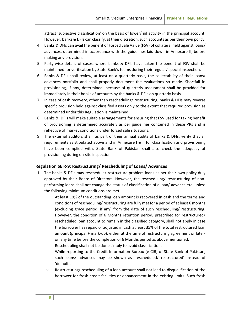attract 'subjective classification' on the basis of lower/ nil activity in the principal account. However, banks & DFIs can classify, at their discretion, such accounts as per their own policy.

- 4. Banks & DFIs can avail the benefit of Forced Sale Value (FSV) of collateral held against loans/ advances, determined in accordance with the guidelines laid down in Annexure II, before making any provision.
- 5. Party-wise details of cases, where banks & DFIs have taken the benefit of FSV shall be maintained for verification by State Bank's teams during their regular/ special inspection.
- 6. Banks & DFIs shall review, at least on a quarterly basis, the collectability of their loans/ advances portfolio and shall properly document the evaluations so made. Shortfall in provisioning, if any, determined, because of quarterly assessment shall be provided for immediately in their books of accounts by the banks & DFIs on quarterly basis.
- 7. In case of cash recovery, other than rescheduling/ restructuring, banks & DFIs may reverse specific provision held against classified assets only to the extent that required provision as determined under this Regulation is maintained.
- 8. Banks & DFIs will make suitable arrangements for ensuring that FSV used for taking benefit of provisioning is determined accurately as per guidelines contained in these PRs and is reflective of market conditions under forced sale situations.
- 9. The external auditors shall, as part of their annual audits of banks & DFIs, verify that all requirements as stipulated above and in Annexure I & II for classification and provisioning have been complied with. State Bank of Pakistan shall also check the adequacy of provisioning during on-site inspection.

#### <span id="page-14-0"></span>**Regulation SE R-9: Restructuring/ Rescheduling of Loans/ Advances**

- 1. The banks & DFIs may reschedule/ restructure problem loans as per their own policy duly approved by their Board of Directors. However, the rescheduling/ restructuring of nonperforming loans shall not change the status of classification of a loan/ advance etc. unless the following minimum conditions are met:
	- i. At least 10% of the outstanding loan amount is recovered in cash and the terms and conditions of rescheduling/restructuring are fully met for a period of at least 6 months (excluding grace period, if any) from the date of such rescheduling/ restructuring**.** However, the condition of 6 Months retention period, prescribed for restructured/ rescheduled loan account to remain in the classified category, shall not apply in case the borrower has repaid or adjusted in cash at least 35% of the total restructured loan amount (principal + mark-up), either at the time of restructuring agreement or lateron any time before the completion of 6 Months period as above mentioned.
	- ii. Rescheduling shall not be done simply to avoid classification.
	- iii. While reporting to the Credit Information Bureau (e-CIB) of State Bank of Pakistan, such loans/ advances may be shown as 'rescheduled/ restructured' instead of 'default'.
	- iv. Restructuring/ rescheduling of a loan account shall not lead to disqualification of the borrower for fresh credit facilities or enhancement in the existing limits. Such fresh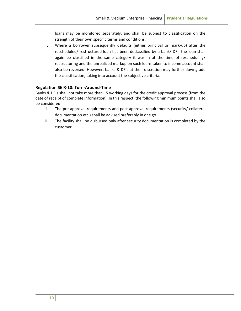loans may be monitored separately, and shall be subject to classification on the strength of their own specific terms and conditions.

v. Where a borrower subsequently defaults (either principal or mark-up) after the rescheduled/ restructured loan has been declassified by a bank/ DFI, the loan shall again be classified in the same category it was in at the time of rescheduling/ restructuring and the unrealized markup on such loans taken to income account shall also be reversed. However, banks & DFIs at their discretion may further downgrade the classification, taking into account the subjective criteria.

#### <span id="page-15-0"></span>**Regulation SE R-10: Turn-Around-Time**

Banks & DFIs shall not take more than 15 working days for the credit approval process (from the date of receipt of complete information). In this respect, the following minimum points shall also be considered:

- i. The pre-approval requirements and post-approval requirements (security/ collateral documentation etc.) shall be advised preferably in one go.
- ii. The facility shall be disbursed only after security documentation is completed by the customer.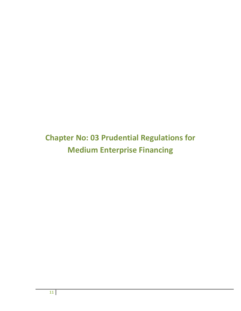## <span id="page-16-0"></span>**Chapter No: 03 Prudential Regulations for Medium Enterprise Financing**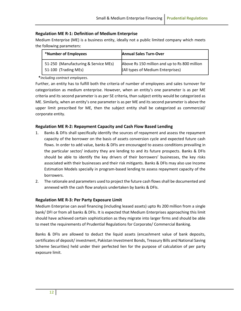#### <span id="page-17-0"></span>**Regulation ME R-1: Definition of Medium Enterprise**

Medium Enterprise (ME) is a business entity, ideally not a public limited company which meets the following parameters:

| *Number of Employees                 | <b>Annual Sales Turn-Over</b>                 |
|--------------------------------------|-----------------------------------------------|
| 51-250 (Manufacturing & Service MEs) | Above Rs 150 million and up to Rs 800 million |
| 51-100 (Trading MEs)                 | (All types of Medium Enterprises)             |

#### **\****including contract employees*.

Further, an entity has to fulfill both the criteria of number of employees and sales turnover for categorization as medium enterprise. However, when an entity's one parameter is as per ME criteria and its second parameter is as per SE criteria, than subject entity would be categorized as ME. Similarly, when an entity's one parameter is as per ME and its second parameter is above the upper limit prescribed for ME, then the subject entity shall be categorized as commercial/ corporate entity.

#### <span id="page-17-1"></span>**Regulation ME R-2: Repayment Capacity and Cash Flow Based Lending**

- 1. Banks & DFIs shall specifically identify the sources of repayment and assess the repayment capacity of the borrower on the basis of assets conversion cycle and expected future cash flows. In order to add value, banks & DFIs are encouraged to assess conditions prevailing in the particular sector/ industry they are lending to and its future prospects. Banks & DFIs should be able to identify the key drivers of their borrowers' businesses, the key risks associated with their businesses and their risk mitigants. Banks & DFIs may also use Income Estimation Models specially in program-based lending to assess repayment capacity of the borrowers.
- 2. The rationale and parameters used to project the future cash flows shall be documented and annexed with the cash flow analysis undertaken by banks & DFIs.

#### <span id="page-17-2"></span>**Regulation ME R-3: Per Party Exposure Limit**

Medium Enterprise can avail financing (including leased assets) upto Rs 200 million from a single bank/ DFI or from all banks & DFIs. It is expected that Medium Enterprises approaching this limit should have achieved certain sophistication as they migrate into larger firms and should be able to meet the requirements of Prudential Regulations for Corporate/ Commercial Banking.

Banks & DFIs are allowed to deduct the liquid assets (encashment value of bank deposits, certificates of deposit/ investment, Pakistan Investment Bonds, Treasury Bills and National Saving Scheme Securities) held under their perfected lien for the purpose of calculation of per party exposure limit.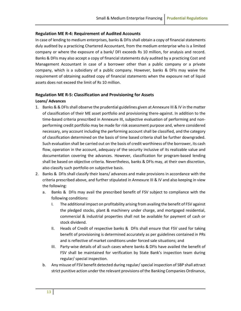#### <span id="page-18-0"></span>**Regulation ME R-4: Requirement of Audited Accounts**

In case of lending to medium enterprises, banks & DFIs shall obtain a copy of financial statements duly audited by a practicing Chartered Accountant, from the medium enterprise who is a limited company or where the exposure of a bank/ DFI exceeds Rs 10 million, for analysis and record. Banks & DFIs may also accept a copy of financial statements duly audited by a practicing Cost and Management Accountant in case of a borrower other than a public company or a private company, which is a subsidiary of a public company. However, banks & DFIs may waive the requirement of obtaining audited copy of financial statements when the exposure net of liquid assets does not exceed the limit of Rs 10 million.

#### <span id="page-18-1"></span>**Regulation ME R-5: Classification and Provisioning for Assets**

#### **Loans/ Advances**

- 1. Banks & & DFIs shall observe the prudential guidelines given at Annexure III & IV in the matter of classification of their ME asset portfolio and provisioning there-against. In addition to the time-based criteria prescribed in Annexure III, subjective evaluation of performing and nonperforming credit portfolio may be made for risk assessment purpose and, where considered necessary, any account including the performing account shall be classified, and the category of classification determined on the basis of time based criteria shall be further downgraded. Such evaluation shall be carried out on the basis of credit worthiness of the borrower, its cash flow, operation in the account, adequacy of the security inclusive of its realizable value and documentation covering the advances. However, classification for program-based lending shall be based on objective criteria. Nevertheless, banks & DFIs may, at their own discretion, also classify such portfolio on subjective basis.
- 2. Banks & DFIs shall classify their loans/ advances and make provisions in accordance with the criteria prescribed above, and further stipulated in Annexure III & IV and also keeping in view the following:
	- a. Banks & DFIs may avail the prescribed benefit of FSV subject to compliance with the following conditions:
		- I. The additional impact on profitability arising from availing the benefit of FSV against the pledged stocks, plant & machinery under charge, and mortgaged residential, commercial & industrial properties shall not be available for payment of cash or stock dividend.
		- II. Heads of Credit of respective banks & DFIs shall ensure that FSV used for taking benefit of provisioning is determined accurately as per guidelines contained in PRs and is reflective of market conditions under forced sale situations; and
		- III. Party-wise details of all such cases where banks & DFIs have availed the benefit of FSV shall be maintained for verification by State Bank's inspection team during regular/ special inspection.
	- b. Any misuse of FSV benefit detected during regular/ special inspection of SBP shall attract strict punitive action under the relevant provisions of the Banking Companies Ordinance,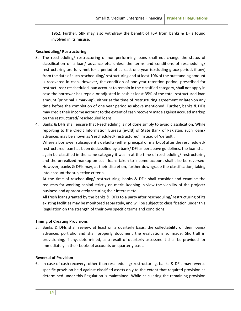1962. Further, SBP may also withdraw the benefit of FSV from banks & DFIs found involved in its misuse.

#### **Rescheduling/ Restructuring**

- 3. The rescheduling/ restructuring of non-performing loans shall not change the status of classification of a loan/ advance etc. unless the terms and conditions of rescheduling/ restructuring are fully met for a period of at least one year (excluding grace period, if any) from the date of such rescheduling/ restructuring and at least 10% of the outstanding amount is recovered in cash. However, the condition of one year retention period, prescribed for restructured/ rescheduled loan account to remain in the classified category, shall not apply in case the borrower has repaid or adjusted in cash at least 35% of the total restructured loan amount (principal + mark-up), either at the time of restructuring agreement or later-on any time before the completion of one year period as above mentioned. Further, banks & DFIs may credit their income account to the extent of cash recovery made against accrued markup on the restructured/ rescheduled loans.
- 4. Banks & DFIs shall ensure that Rescheduling is not done simply to avoid classification. While reporting to the Credit Information Bureau (e-CIB) of State Bank of Pakistan, such loans/ advances may be shown as 'rescheduled/ restructured' instead of 'default'.

Where a borrower subsequently defaults (either principal or mark-up) after the rescheduled/ restructured loan has been declassified by a bank/ DFI as per above guidelines, the loan shall again be classified in the same category it was in at the time of rescheduling/ restructuring and the unrealized markup on such loans taken to income account shall also be reversed. However, banks & DFIs may, at their discretion, further downgrade the classification, taking into account the subjective criteria.

At the time of rescheduling/ restructuring, banks & DFIs shall consider and examine the requests for working capital strictly on merit, keeping in view the viability of the project/ business and appropriately securing their interest etc.

All fresh loans granted by the banks & DFIs to a party after rescheduling/ restructuring of its existing facilities may be monitored separately, and will be subject to classification under this Regulation on the strength of their own specific terms and conditions.

#### **Timing of Creating Provisions**

5. Banks & DFIs shall review, at least on a quarterly basis, the collectability of their loans/ advances portfolio and shall properly document the evaluations so made. Shortfall in provisioning, if any, determined, as a result of quarterly assessment shall be provided for immediately in their books of accounts on quarterly basis.

#### **Reversal of Provision**

6. In case of cash recovery, other than rescheduling/ restructuring, banks & DFIs may reverse specific provision held against classified assets only to the extent that required provision as determined under this Regulation is maintained. While calculating the remaining provision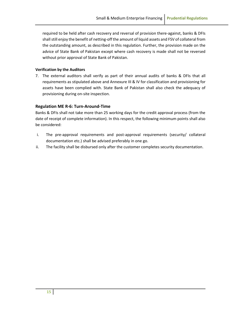required to be held after cash recovery and reversal of provision there-against, banks & DFIs shall still enjoy the benefit of netting-off the amount of liquid assets and FSV of collateral from the outstanding amount, as described in this regulation. Further, the provision made on the advice of State Bank of Pakistan except where cash recovery is made shall not be reversed without prior approval of State Bank of Pakistan.

#### **Verification by the Auditors**

7. The external auditors shall verify as part of their annual audits of banks & DFIs that all requirements as stipulated above and Annexure III & IV for classification and provisioning for assets have been complied with. State Bank of Pakistan shall also check the adequacy of provisioning during on-site inspection.

#### <span id="page-20-0"></span>**Regulation ME R-6: Turn-Around-Time**

Banks & DFIs shall not take more than 25 working days for the credit approval process (from the date of receipt of complete information). In this respect, the following minimum points shall also be considered:

- i. The pre-approval requirements and post-approval requirements (security/ collateral documentation etc.) shall be advised preferably in one go.
- ii. The facility shall be disbursed only after the customer completes security documentation.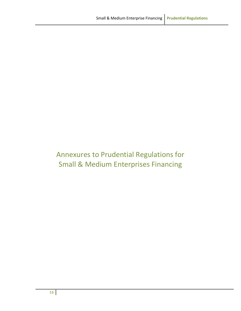### Annexures to Prudential Regulations for Small & Medium Enterprises Financing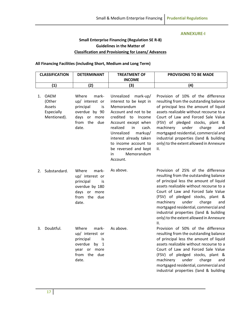#### **ANNEXURE-I**

### **Small Enterprise Financing (Regulation SE R-8) Guidelines in the Matter of Classification and Provisioning for Loans/ Advances**

<span id="page-22-0"></span>**All Financing Facilities (including Short, Medium and Long Term)**

|    | <b>CLASSIFICATION</b>                                        | <b>DETERMINANT</b>                                                                                                    | <b>TREATMENT OF</b><br><b>INCOME</b>                                                                                                                                                                                                                                                                 | <b>PROVISIONS TO BE MADE</b>                                                                                                                                                                                                                                                                                                                                                                                            |
|----|--------------------------------------------------------------|-----------------------------------------------------------------------------------------------------------------------|------------------------------------------------------------------------------------------------------------------------------------------------------------------------------------------------------------------------------------------------------------------------------------------------------|-------------------------------------------------------------------------------------------------------------------------------------------------------------------------------------------------------------------------------------------------------------------------------------------------------------------------------------------------------------------------------------------------------------------------|
|    | (1)                                                          | (2)                                                                                                                   | (3)                                                                                                                                                                                                                                                                                                  | (4)                                                                                                                                                                                                                                                                                                                                                                                                                     |
| 1. | <b>OAEM</b><br>(Other<br>Assets<br>Especially<br>Mentioned). | Where<br>mark-<br>up/ interest or<br>principal<br>is<br>overdue by 90<br>days or more<br>the due<br>from<br>date.     | Unrealized<br>$mark-up/$<br>interest to be kept in<br>Memorandum<br>Account and not to be<br>credited to Income<br>Account except when<br>realized<br>in<br>cash.<br>Unrealized<br>markup/<br>interest already taken<br>to income account to<br>be reversed and kept<br>Memorandum<br>in<br>Account. | Provision of 10% of the difference<br>resulting from the outstanding balance<br>of principal less the amount of liquid<br>assets realizable without recourse to a<br>Court of Law and Forced Sale Value<br>(FSV) of pledged stocks, plant &<br>under<br>machinery<br>charge<br>and<br>mortgaged residential, commercial and<br>industrial properties (land & building<br>only) to the extent allowed in Annexure<br>ΙΙ. |
| 2. | Substandard.                                                 | Where<br>mark-<br>up/ interest or<br>principal<br>is<br>overdue by 180<br>days or more<br>from the due<br>date.       | As above.                                                                                                                                                                                                                                                                                            | Provision of 25% of the difference<br>resulting from the outstanding balance<br>of principal less the amount of liquid<br>assets realizable without recourse to a<br>Court of Law and Forced Sale Value<br>(FSV) of pledged stocks, plant &<br>under<br>machinery<br>charge<br>and<br>mortgaged residential, commercial and<br>industrial properties (land & building<br>only) to the extent allowed in Annexure<br>II. |
| 3. | Doubtful.                                                    | Where<br>mark-<br>up/ interest or<br>principal<br>is<br>overdue<br>by $1$<br>year or more<br>from<br>the due<br>date. | As above.                                                                                                                                                                                                                                                                                            | Provision of 50% of the difference<br>resulting from the outstanding balance<br>of principal less the amount of liquid<br>assets realizable without recourse to a<br>Court of Law and Forced Sale Value<br>(FSV) of pledged stocks, plant &<br>machinery<br>under<br>charge<br>and<br>mortgaged residential, commercial and<br>industrial properties (land & building                                                   |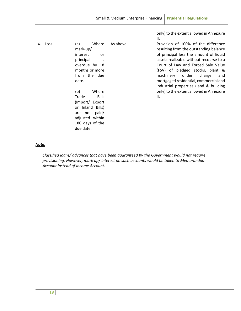only) to the extent allowed in Annexure

II. 4. Loss. (a) Where mark-up/ interest or principal is overdue by 18 months or more from the due date. (b) Where Trade Bills (Import/ Export or Inland Bills) are not paid/ adjusted within 180 days of the due date. As above **Provision of 100%** of the difference resulting from the outstanding balance of principal less the amount of liquid assets realizable without recourse to a Court of Law and Forced Sale Value (FSV) of pledged stocks, plant & machinery under charge and mortgaged residential, commercial and industrial properties (land & building only) to the extent allowed in Annexure II.

#### *Note:*

*Classified loans/ advances that have been guaranteed by the Government would not require provisioning. However, mark up/ interest on such accounts would be taken to Memorandum Account instead of Income Account.*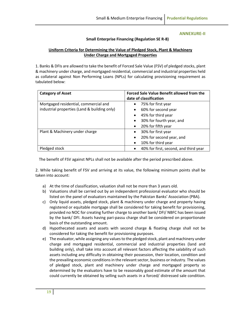#### **ANNEXURE-II**

#### **Small Enterprise Financing (Regulation SE R-8)**

#### <span id="page-24-0"></span>**Uniform Criteria for Determining the Value of Pledged Stock, Plant & Machinery Under Charge and Mortgaged Properties**

1. Banks & DFIs are allowed to take the benefit of Forced Sale Value (FSV) of pledged stocks, plant & machinery under charge, and mortgaged residential, commercial and industrial properties held as collateral against Non Performing Loans (NPLs) for calculating provisioning requirement as tabulated below:

| <b>Category of Asset</b>                                                              | Forced Sale Value Benefit allowed from the<br>date of classification                                                                                                       |
|---------------------------------------------------------------------------------------|----------------------------------------------------------------------------------------------------------------------------------------------------------------------------|
| Mortgaged residential, commercial and<br>industrial properties (Land & building only) | 75% for first year<br>$\bullet$<br>60% for second year<br>$\bullet$<br>45% for third year<br>$\bullet$<br>30% for fourth year, and<br>$\bullet$<br>20% for fifth year<br>٠ |
| Plant & Machinery under charge                                                        | 30% for first year<br>$\bullet$<br>20% for second year, and<br>$\bullet$<br>10% for third year<br>٠                                                                        |
| Pledged stock                                                                         | 40% for first, second, and third year<br>$\bullet$                                                                                                                         |

The benefit of FSV against NPLs shall not be available after the period prescribed above.

2. While taking benefit of FSV and arriving at its value, the following minimum points shall be taken into account:

- a) At the time of classification, valuation shall not be more than 3 years old.
- b) Valuations shall be carried out by an independent professional evaluator who should be listed on the panel of evaluators maintained by the Pakistan Banks' Association (PBA).
- c) Only liquid assets, pledged stock, plant & machinery under charge and property having registered or equitable mortgage shall be considered for taking benefit for provisioning, provided no NOC for creating further charge to another bank/ DFI/ NBFC has been issued by the bank/ DFI. Assets having pari-passu charge shall be considered on proportionate basis of the outstanding amount.
- d) Hypothecated assets and assets with second charge & floating charge shall not be considered for taking the benefit for provisioning purposes.
- e) The evaluator, while assigning any values to the pledged stock, plant and machinery under charge and mortgaged residential, commercial and industrial properties (land and building only), shall take into account all relevant factors affecting the salability of such assets including any difficulty in obtaining their possession, their location, condition and the prevailing economic conditions in the relevant sector, business or industry. The values of pledged stock, plant and machinery under charge and mortgaged property so determined by the evaluators have to be reasonably good estimate of the amount that could currently be obtained by selling such assets in a forced/ distressed sale condition.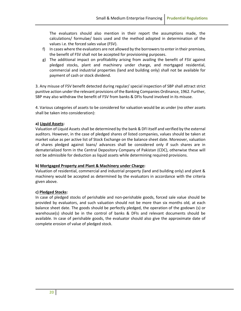The evaluators should also mention in their report the assumptions made, the calculations/ formulae/ basis used and the method adopted in determination of the values i.e. the forced sales value (FSV).

- f) In cases where the evaluators are not allowed by the borrowers to enter in their premises, the benefit of FSV shall not be accepted for provisioning purposes.
- g) The additional impact on profitability arising from availing the benefit of FSV against pledged stocks, plant and machinery under charge, and mortgaged residential, commercial and industrial properties (land and building only) shall not be available for payment of cash or stock dividend.

3. Any misuse of FSV benefit detected during regular/ special inspection of SBP shall attract strict punitive action under the relevant provisions of the Banking Companies Ordinance, 1962. Further, SBP may also withdraw the benefit of FSV from banks & DFIs found involved in its misuse.

4. Various categories of assets to be considered for valuation would be as under (no other assets shall be taken into consideration):

#### **a) Liquid Assets:**

Valuation of Liquid Assets shall be determined by the bank & DFI itself and verified by the external auditors. However, in the case of pledged shares of listed companies, values should be taken at market value as per active list of Stock Exchange on the balance sheet date. Moreover, valuation of shares pledged against loans/ advances shall be considered only if such shares are in dematerialized form in the Central Depository Company of Pakistan (CDC), otherwise these will not be admissible for deduction as liquid assets while determining required provisions.

#### **b) Mortgaged Property and Plant & Machinery under Charge:**

Valuation of residential, commercial and industrial property (land and building only) and plant & machinery would be accepted as determined by the evaluators in accordance with the criteria given above.

#### **c) Pledged Stocks:**

In case of pledged stocks of perishable and non-perishable goods, forced sale value should be provided by evaluators, and such valuation should not be more than six months old, at each balance sheet date. The goods should be perfectly pledged, the operation of the godown (s) or warehouse(s) should be in the control of banks & DFIs and relevant documents should be available. In case of perishable goods, the evaluator should also give the approximate date of complete erosion of value of pledged stock.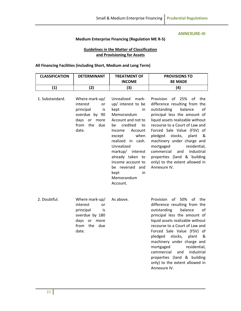#### **ANNEXURE-III**

#### **Medium Enterprise Financing (Regulation ME R-5)**

#### **Guidelines in the Matter of Classification and Provisioning for Assets**

#### <span id="page-26-0"></span>**All Financing Facilities (including Short, Medium and Long Term)**

| <b>CLASSIFICATION</b> | <b>DETERMINANT</b>                                                                                                            | <b>TREATMENT OF</b><br><b>INCOME</b>                                                                                                                                                                                                                                                                                  | <b>PROVISIONS TO</b><br><b>BE MADE</b>                                                                                                                                                                                                                                                                                                                                                                                                                             |
|-----------------------|-------------------------------------------------------------------------------------------------------------------------------|-----------------------------------------------------------------------------------------------------------------------------------------------------------------------------------------------------------------------------------------------------------------------------------------------------------------------|--------------------------------------------------------------------------------------------------------------------------------------------------------------------------------------------------------------------------------------------------------------------------------------------------------------------------------------------------------------------------------------------------------------------------------------------------------------------|
| (1)                   | (2)                                                                                                                           | (3)                                                                                                                                                                                                                                                                                                                   | (4)                                                                                                                                                                                                                                                                                                                                                                                                                                                                |
| 1. Substandard.       | Where mark-up/<br>interest<br><b>or</b><br>principal<br>is<br>overdue by 90<br>days<br>or more<br>the<br>from<br>due<br>date. | Unrealized<br>mark-<br>up/ interest to be<br>kept<br>in<br>Memorandum<br>Account and not to<br>credited<br>be<br>to<br>Income<br>Account<br>when<br>except<br>realized in cash.<br>Unrealized<br>markup/ interest<br>already taken to<br>income account to<br>be reversed and<br>kept<br>in<br>Memorandum<br>Account. | 25%<br><b>Provision</b><br>of<br>of<br>the<br>difference resulting from the<br>outstanding<br>balance<br>of<br>principal less the amount of<br>liquid assets realizable without<br>recourse to a Court of Law and<br>Forced Sale Value (FSV) of<br>stocks, plant<br>pledged<br>&<br>machinery under charge and<br>mortgaged<br>residential,<br>commercial<br>and<br>industrial<br>properties (land & building<br>only) to the extent allowed in<br>Annexure IV.    |
| 2. Doubtful.          | Where mark-up/<br>interest<br>or<br>principal<br>is<br>overdue by 180<br>days<br>or<br>more<br>from<br>the<br>due<br>date.    | As above.                                                                                                                                                                                                                                                                                                             | 50%<br><b>Provision</b><br>of<br>of<br>the<br>difference resulting from the<br>outstanding<br>balance<br>of<br>principal less the amount of<br>liquid assets realizable without<br>recourse to a Court of Law and<br>Forced Sale Value (FSV) of<br>stocks,<br>pledged<br>plant<br>&<br>machinery under charge and<br>residential,<br>mortgaged<br>commercial<br>industrial<br>and<br>properties (land & building<br>only) to the extent allowed in<br>Annexure IV. |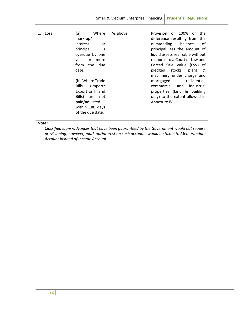| 1. | Loss. | (a)<br>Where       | As above. | Provision of 100% of the         |
|----|-------|--------------------|-----------|----------------------------------|
|    |       | $mark-up/$         |           | difference resulting from the    |
|    |       | interest<br>or     |           | outstanding balance<br>of        |
|    |       | principal<br>is is |           | principal less the amount of     |
|    |       | overdue by one     |           | liquid assets realizable without |
|    |       | more<br>vear<br>or |           | recourse to a Court of Law and   |
|    |       | from the due       |           | Forced Sale Value (FSV) of       |
|    |       | date.              |           | pledged stocks, plant &          |
|    |       |                    |           | machinery under charge and       |
|    |       | (b) Where Trade    |           | mortgaged<br>residential,        |
|    |       | Bills (Import/     |           | commercial and industrial        |
|    |       | Export or Inland   |           | properties (land & building      |
|    |       | Bills) are not     |           | only) to the extent allowed in   |
|    |       | paid/adjusted      |           | Annexure IV.                     |
|    |       | within 180 days    |           |                                  |
|    |       | of the due date.   |           |                                  |

#### *Note:*

*Classified loans/advances that have been guaranteed by the Government would not require provisioning; however, mark up/interest on such accounts would be taken to Memorandum Account instead of Income Account.*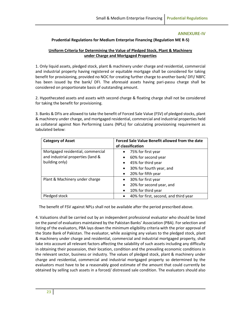#### **ANNEXURE-IV**

#### <span id="page-28-0"></span>**Prudential Regulations for Medium Enterprise Financing (Regulation ME R-5)**

#### **Uniform Criteria for Determining the Value of Pledged Stock, Plant & Machinery under Charge and Mortgaged Properties**

1. Only liquid assets, pledged stock, plant & machinery under charge and residential, commercial and industrial property having registered or equitable mortgage shall be considered for taking benefit for provisioning, provided no NOC for creating further charge to another bank/ DFI/ NBFC has been issued by the bank/ DFI. The aforesaid assets having pari-passu charge shall be considered on proportionate basis of outstanding amount.

2. Hypothecated assets and assets with second charge & floating charge shall not be considered for taking the benefit for provisioning.

3. Banks & DFIs are allowed to take the benefit of Forced Sale Value (FSV) of pledged stocks, plant & machinery under charge, and mortgaged residential, commercial and industrial properties held as collateral against Non Performing Loans (NPLs) for calculating provisioning requirement as tabulated below:

| <b>Category of Asset</b>          | Forced Sale Value Benefit allowed from the date<br>of classification |
|-----------------------------------|----------------------------------------------------------------------|
| Mortgaged residential, commercial | 75% for first year<br>$\bullet$                                      |
| and industrial properties (land & | 60% for second year                                                  |
| building only)                    | 45% for third year<br>٠                                              |
|                                   | 30% for fourth year, and<br>$\bullet$                                |
|                                   | 20% for fifth year<br>$\bullet$                                      |
| Plant & Machinery under charge    | 30% for first year                                                   |
|                                   | 20% for second year, and<br>$\bullet$                                |
|                                   | 10% for third year                                                   |
| Pledged stock                     | 40% for first, second, and third year                                |

The benefit of FSV against NPLs shall not be available after the period prescribed above.

4. Valuations shall be carried out by an independent professional evaluator who should be listed on the panel of evaluators maintained by the Pakistan Banks' Association (PBA). For selection and listing of the evaluators, PBA lays down the minimum eligibility criteria with the prior approval of the State Bank of Pakistan. The evaluator, while assigning any values to the pledged stock, plant & machinery under charge and residential, commercial and industrial mortgaged property, shall take into account all relevant factors affecting the salability of such assets including any difficulty in obtaining their possession, their location, condition and the prevailing economic conditions in the relevant sector, business or industry. The values of pledged stock, plant & machinery under charge and residential, commercial and industrial mortgaged property so determined by the evaluators must have to be a reasonably good estimate of the amount that could currently be obtained by selling such assets in a forced/ distressed sale condition. The evaluators should also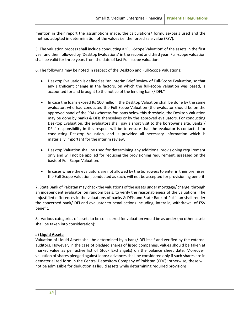mention in their report the assumptions made, the calculations/ formulae/basis used and the method adopted in determination of the values i.e. the forced sale value (FSV).

5. The valuation process shall include conducting a 'Full-Scope Valuation' of the assets in the first year and then followed by 'Desktop Evaluations' in the second and third year. Full-scope valuation shall be valid for three years from the date of last Full-scope valuation.

6. The following may be noted in respect of the Desktop and Full-Scope Valuations:

- Desktop Evaluation is defined as "an Interim Brief Review of Full-Scope Evaluation, so that any significant change in the factors, on which the full-scope valuation was based, is accounted for and brought to the notice of the lending bank/ DFI."
- In case the loans exceed Rs 100 million, the Desktop Valuation shall be done by the same evaluator, who had conducted the Full-Scope Valuation (the evaluator should be on the approved panel of the PBA) whereas for loans below this threshold, the Desktop Valuation may be done by banks & DFIs themselves or by the approved evaluators. For conducting Desktop Evaluation, the evaluators shall pay a short visit to the borrower's site. Banks'/ DFIs' responsibility in this respect will be to ensure that the evaluator is contacted for conducting Desktop Valuation, and is provided all necessary information which is materially important for the interim review.
- Desktop Valuation shall be used for determining any additional provisioning requirement only and will not be applied for reducing the provisioning requirement, assessed on the basis of Full-Scope Valuation.
- In cases where the evaluators are not allowed by the borrowers to enter in their premises, the Full-Scope Valuation, conducted as such, will not be accepted for provisioning benefit.

7. State Bank of Pakistan may check the valuations of the assets under mortgage/ charge, through an independent evaluator, on random basis, to verify the reasonableness of the valuations. The unjustified differences in the valuations of banks & DFIs and State Bank of Pakistan shall render the concerned bank/ DFI and evaluator to penal actions including, interalia, withdrawal of FSV benefit.

8. Various categories of assets to be considered for valuation would be as under (no other assets shall be taken into consideration):

#### **a) Liquid Assets:**

Valuation of Liquid Assets shall be determined by a bank/ DFI itself and verified by the external auditors. However, in the case of pledged shares of listed companies, values should be taken at market value as per active list of Stock Exchange(s) on the balance sheet date. Moreover, valuation of shares pledged against loans/ advances shall be considered only if such shares are in dematerialized form in the Central Depository Company of Pakistan (CDC); otherwise, these will not be admissible for deduction as liquid assets while determining required provisions.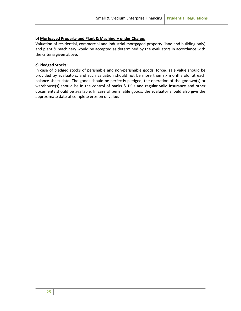#### **b) Mortgaged Property and Plant & Machinery under Charge:**

Valuation of residential, commercial and industrial mortgaged property (land and building only) and plant & machinery would be accepted as determined by the evaluators in accordance with the criteria given above.

#### **c) Pledged Stocks:**

In case of pledged stocks of perishable and non-perishable goods, forced sale value should be provided by evaluators, and such valuation should not be more than six months old, at each balance sheet date. The goods should be perfectly pledged, the operation of the godown(s) or warehouse(s) should be in the control of banks & DFIs and regular valid insurance and other documents should be available. In case of perishable goods, the evaluator should also give the approximate date of complete erosion of value.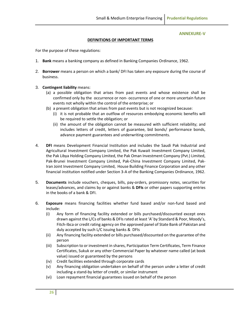#### **ANNEXURE-V**

#### **DEFINITIONS OF IMPORTANT TERMS**

<span id="page-31-0"></span>For the purpose of these regulations:

- 1. **Bank** means a banking company as defined in Banking Companies Ordinance, 1962.
- 2. **Borrower** means a person on which a bank/ DFI has taken any exposure during the course of business.
- 3. **Contingent liability** means:
	- (a) a possible obligation that arises from past events and whose existence shall be confirmed only by the occurrence or non- occurrence of one or more uncertain future events not wholly within the control of the enterprise; or
	- (b) a present obligation that arises from past events but is not recognized because:
		- (i) it is not probable that an outflow of resources embodying economic benefits will be required to settle the obligation; or
		- (ii) the amount of the obligation cannot be measured with sufficient reliability; and includes letters of credit, letters of guarantee, bid bonds/ performance bonds, advance payment guarantees and underwriting commitments.
- 4. **DFI** means Development Financial Institution and includes the Saudi Pak Industrial and Agricultural Investment Company Limited, the Pak Kuwait Investment Company Limited, the Pak Libya Holding Company Limited, the Pak Oman Investment Company (Pvt.) Limited, Pak-Brunei Investment Company Limited, Pak-China Investment Company Limited, Pak-Iran Joint Investment Company Limited, House Building Finance Corporation and any other financial institution notified under Section 3-A of the Banking Companies Ordinance, 1962.
- 5. **Documents** include vouchers, cheques, bills, pay-orders, promissory notes, securities for leases/advances, and claims by or against banks & **DFIs** or other papers supporting entries in the books of a bank & DFI.
- 6. **Exposure** means financing facilities whether fund based and/or non-fund based and include:
	- (i) Any form of financing facility extended or bills purchased/discounted except ones drawn against the L/Cs of banks & DFIs rated at least 'A' by Standard & Poor, Moody's, Fitch-Ibca or credit rating agency on the approved panel of State Bank of Pakistan and duly accepted by such L/C issuing banks & DFIs
	- (ii) Any financing facility extended or bills purchased/discounted on the guarantee of the person
	- (iii) Subscription to or investment in shares, Participation Term Certificates, Term Finance Certificates, Sukuk or any other Commercial Paper by whatever name called (at book value) issued or guaranteed by the persons
	- (iv) Credit facilities extended through corporate cards
	- (v) Any financing obligation undertaken on behalf of the person under a letter of credit including a stand-by letter of credit, or similar instrument
	- (vi) Loan repayment financial guarantees issued on behalf of the person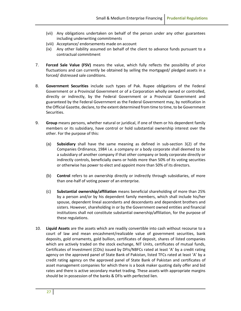- (vii) Any obligations undertaken on behalf of the person under any other guarantees including underwriting commitments
- (viii) Acceptance/ endorsements made on account
- (ix) Any other liability assumed on behalf of the client to advance funds pursuant to a contractual commitment
- 7. **Forced Sale Value (FSV)** means the value, which fully reflects the possibility of price fluctuations and can currently be obtained by selling the mortgaged/ pledged assets in a forced/ distressed sale conditions.
- 8. **Government Securities** include such types of Pak. Rupee obligations of the Federal Government or a Provincial Government or of a Corporation wholly owned or controlled, directly or indirectly, by the Federal Government or a Provincial Government and guaranteed by the Federal Government as the Federal Government may, by notification in the Official Gazette, declare, to the extent determined from time to time, to be Government Securities.
- 9. **Group** means persons, whether natural or juridical, if one of them or his dependent family members or its subsidiary, have control or hold substantial ownership interest over the other. For the purpose of this:
	- (a) **Subsidiary** shall have the same meaning as defined in sub-section 3(2) of the Companies Ordinance, 1984 i.e. a company or a body corporate shall deemed to be a subsidiary of another company if that other company or body corporate directly or indirectly controls, beneficially owns or holds more than 50% of its voting securities or otherwise has power to elect and appoint more than 50% of its directors.
	- (b) **Control** refers to an ownership directly or indirectly through subsidiaries, of more than one-half of voting power of an enterprise.
	- (c) **Substantial ownership/affiliation** means beneficial shareholding of more than 25% by a person and/or by his dependent family members, which shall include his/her spouse, dependent lineal ascendants and descendants and dependent brothers and sisters. However, shareholding in or by the Government owned entities and financial institutions shall not constitute substantial ownership/affiliation, for the purpose of these regulations.
- 10. **Liquid Assets** are the assets which are readily convertible into cash without recourse to a court of law and mean encashment/realizable value of government securities, bank deposits, gold ornaments, gold bullion, certificates of deposit, shares of listed companies which are actively traded on the stock exchange, NIT Units, certificates of mutual funds, Certificates of Investment (COIs) issued by DFIs/NBFCs rated at least 'A' by a credit rating agency on the approved panel of State Bank of Pakistan, listed TFCs rated at least 'A' by a credit rating agency on the approved panel of State Bank of Pakistan and certificates of asset management companies for which there is a book maker quoting daily offer and bid rates and there is active secondary market trading. These assets with appropriate margins should be in possession of the banks & DFIs with perfected lien.